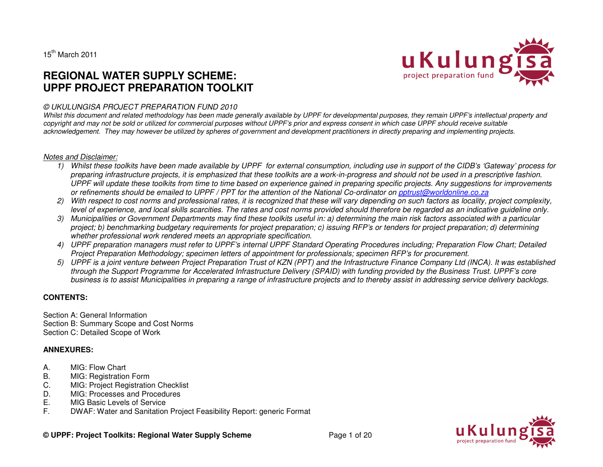$15^{th}$  March 2011

# **REGIONAL WATER SUPPLY SCHEME: UPPF PROJECT PREPARATION TOOLKIT**



Whilst this document and related methodology has been made generally available by UPPF for developmental purposes, they remain UPPF's intellectual property and *copyright and may not be sold or utilized for commercial purposes without UPPF's prior and express consent in which case UPPF should receive suitable acknowledgement. They may however be utilized by spheres of government and development practitioners in directly preparing and implementing projects.* 

#### *Notes and Disclaimer:*

- *1) Whilst these toolkits have been made available by UPPF for external consumption, including use in support of the CIDB's 'Gateway' process for preparing infrastructure projects, it is emphasized that these toolkits are a work-in-progress and should not be used in a prescriptive fashion. UPPF will update these toolkits from time to time based on experience gained in preparing specific projects. Any suggestions for improvements or refinements should be emailed to UPPF / PPT for the attention of the National Co-ordinator on pptrust@worldonline.co.za*
- *2) With respect to cost norms and professional rates, it is recognized that these will vary depending on such factors as locality, project complexity, level of experience, and local skills scarcities. The rates and cost norms provided should therefore be regarded as an indicative guideline only.*
- *3) Municipalities or Government Departments may find these toolkits useful in: a) determining the main risk factors associated with a particular project; b) benchmarking budgetary requirements for project preparation; c) issuing RFP's or tenders for project preparation; d) determining whether professional work rendered meets an appropriate specification.*
- *4) UPPF preparation managers must refer to UPPF's internal UPPF Standard Operating Procedures including; Preparation Flow Chart; Detailed Project Preparation Methodology; specimen letters of appointment for professionals; specimen RFP's for procurement.*
- *5) UPPF is a joint venture between Project Preparation Trust of KZN (PPT) and the Infrastructure Finance Company Ltd (INCA). It was established through the Support Programme for Accelerated Infrastructure Delivery (SPAID) with funding provided by the Business Trust. UPPF's core business is to assist Municipalities in preparing a range of infrastructure projects and to thereby assist in addressing service delivery backlogs.*

## **CONTENTS:**

Section A: General Information Section B: Summary Scope and Cost Norms Section C: Detailed Scope of Work

## **ANNEXURES:**

- A. MIG: Flow Chart
- B. MIG: Registration Form
- C. MIG: Project Registration Checklist
- D. MIG: Processes and Procedures
- E. MIG Basic Levels of Service
- F. DWAF: Water and Sanitation Project Feasibility Report: generic Format



u Kulung

**© UPPF: Project Toolkits: Regional Water Supply Scheme** Page 1 of 20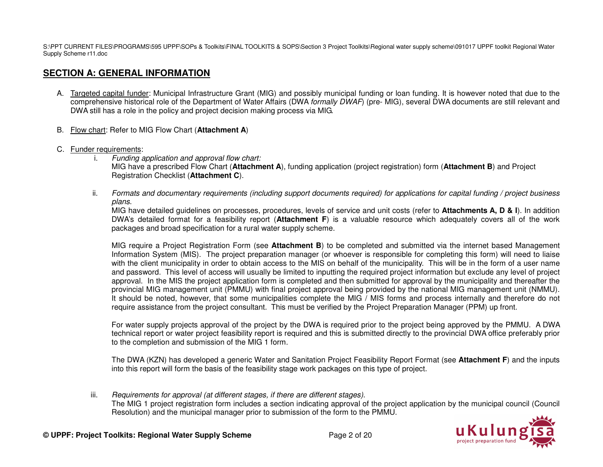S:\PPT CURRENT FILES\PROGRAMS\595 UPPF\SOPs & Toolkits\FINAL TOOLKITS & SOPS\Section 3 Project Toolkits\Regional water supply scheme\091017 UPPF toolkit Regional Water Supply Scheme r11.doc

# **SECTION A: GENERAL INFORMATION**

- A. Targeted capital funder: Municipal Infrastructure Grant (MIG) and possibly municipal funding or loan funding. It is however noted that due to the comprehensive historical role of the Department of Water Affairs (DWA *formally DWAF*) (pre- MIG), several DWA documents are still relevant and DWA still has a role in the policy and project decision making process via MIG.
- B. Flow chart: Refer to MIG Flow Chart (**Attachment A**)
- C. Funder requirements:
	- i. *Funding application and approval flow chart:*  MIG have a prescribed Flow Chart (**Attachment A**), funding application (project registration) form (**Attachment B**) and Project Registration Checklist (**Attachment C**).
	- ii. *Formats and documentary requirements (including support documents required) for applications for capital funding / project business plans*.

 MIG have detailed guidelines on processes, procedures, levels of service and unit costs (refer to **Attachments A, D & I**). In addition DWA's detailed format for a feasibility report (**Attachment F**) is a valuable resource which adequately covers all of the work packages and broad specification for a rural water supply scheme.

MIG require a Project Registration Form (see **Attachment B**) to be completed and submitted via the internet based Management Information System (MIS). The project preparation manager (or whoever is responsible for completing this form) will need to liaise with the client municipality in order to obtain access to the MIS on behalf of the municipality. This will be in the form of a user name and password. This level of access will usually be limited to inputting the required project information but exclude any level of project approval. In the MIS the project application form is completed and then submitted for approval by the municipality and thereafter the provincial MIG management unit (PMMU) with final project approval being provided by the national MIG management unit (NMMU). It should be noted, however, that some municipalities complete the MIG / MIS forms and process internally and therefore do not require assistance from the project consultant. This must be verified by the Project Preparation Manager (PPM) up front.

For water supply projects approval of the project by the DWA is required prior to the project being approved by the PMMU. A DWA technical report or water project feasibility report is required and this is submitted directly to the provincial DWA office preferably prior to the completion and submission of the MIG 1 form.

The DWA (KZN) has developed a generic Water and Sanitation Project Feasibility Report Format (see **Attachment F**) and the inputs into this report will form the basis of the feasibility stage work packages on this type of project.

iii. *Requirements for approval (at different stages, if there are different stages)*. The MIG 1 project registration form includes a section indicating approval of the project application by the municipal council (Council Resolution) and the municipal manager prior to submission of the form to the PMMU.

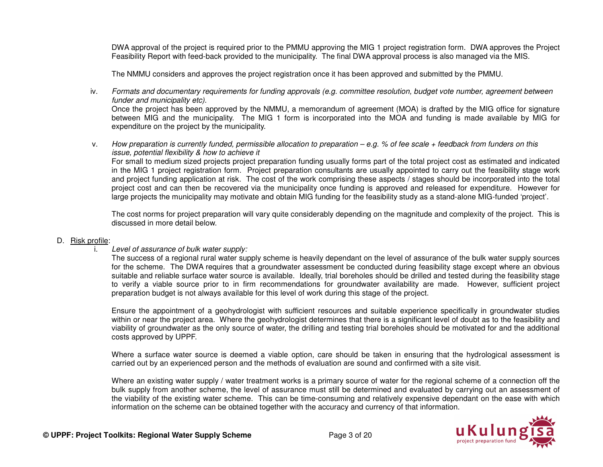DWA approval of the project is required prior to the PMMU approving the MIG 1 project registration form. DWA approves the Project Feasibility Report with feed-back provided to the municipality. The final DWA approval process is also managed via the MIS.

The NMMU considers and approves the project registration once it has been approved and submitted by the PMMU.

iv. *Formats and documentary requirements for funding approvals (e.g. committee resolution, budget vote number, agreement between funder and municipality etc)*.

 Once the project has been approved by the NMMU, a memorandum of agreement (MOA) is drafted by the MIG office for signature between MIG and the municipality. The MIG 1 form is incorporated into the MOA and funding is made available by MIG for expenditure on the project by the municipality.

v. *How preparation is currently funded, permissible allocation to preparation – e.g. % of fee scale + feedback from funders on this issue, potential flexibility & how to achieve it* 

 For small to medium sized projects project preparation funding usually forms part of the total project cost as estimated and indicated in the MIG 1 project registration form. Project preparation consultants are usually appointed to carry out the feasibility stage work and project funding application at risk. The cost of the work comprising these aspects / stages should be incorporated into the total project cost and can then be recovered via the municipality once funding is approved and released for expenditure. However for large projects the municipality may motivate and obtain MIG funding for the feasibility study as a stand-alone MIG-funded 'project'.

The cost norms for project preparation will vary quite considerably depending on the magnitude and complexity of the project. This is discussed in more detail below.

## D. Risk profile:

## i. *Level of assurance of bulk water supply:*

 The success of a regional rural water supply scheme is heavily dependant on the level of assurance of the bulk water supply sources for the scheme. The DWA requires that a groundwater assessment be conducted during feasibility stage except where an obvious suitable and reliable surface water source is available. Ideally, trial boreholes should be drilled and tested during the feasibility stage to verify a viable source prior to in firm recommendations for groundwater availability are made. However, sufficient project preparation budget is not always available for this level of work during this stage of the project.

Ensure the appointment of a geohydrologist with sufficient resources and suitable experience specifically in groundwater studies within or near the project area. Where the geohydrologist determines that there is a significant level of doubt as to the feasibility and viability of groundwater as the only source of water, the drilling and testing trial boreholes should be motivated for and the additional costs approved by UPPF.

Where a surface water source is deemed a viable option, care should be taken in ensuring that the hydrological assessment is carried out by an experienced person and the methods of evaluation are sound and confirmed with a site visit.

Where an existing water supply / water treatment works is a primary source of water for the regional scheme of a connection off the bulk supply from another scheme, the level of assurance must still be determined and evaluated by carrying out an assessment of the viability of the existing water scheme. This can be time-consuming and relatively expensive dependant on the ease with which information on the scheme can be obtained together with the accuracy and currency of that information.

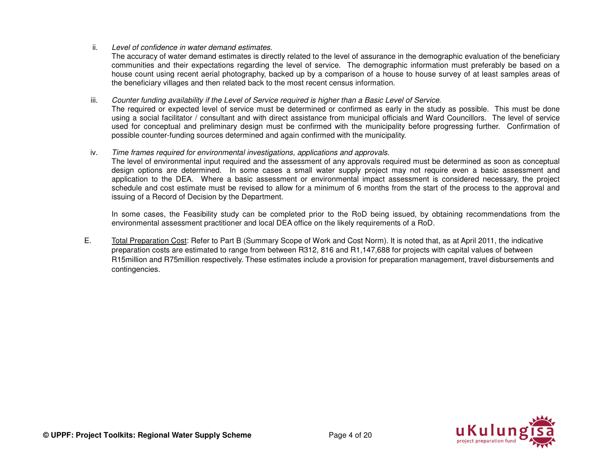## ii. *Level of confidence in water demand estimates*.

 The accuracy of water demand estimates is directly related to the level of assurance in the demographic evaluation of the beneficiary communities and their expectations regarding the level of service. The demographic information must preferably be based on a house count using recent aerial photography, backed up by a comparison of a house to house survey of at least samples areas of the beneficiary villages and then related back to the most recent census information.

### iii. *Counter funding availability if the Level of Service required is higher than a Basic Level of Service*.

 The required or expected level of service must be determined or confirmed as early in the study as possible. This must be done using a social facilitator / consultant and with direct assistance from municipal officials and Ward Councillors. The level of service used for conceptual and preliminary design must be confirmed with the municipality before progressing further. Confirmation of possible counter-funding sources determined and again confirmed with the municipality.

#### iv. *Time frames required for environmental investigations, applications and approvals*.

 The level of environmental input required and the assessment of any approvals required must be determined as soon as conceptual design options are determined. In some cases a small water supply project may not require even a basic assessment and application to the DEA. Where a basic assessment or environmental impact assessment is considered necessary, the project schedule and cost estimate must be revised to allow for a minimum of 6 months from the start of the process to the approval and issuing of a Record of Decision by the Department.

In some cases, the Feasibility study can be completed prior to the RoD being issued, by obtaining recommendations from the environmental assessment practitioner and local DEA office on the likely requirements of a RoD.

E. Total Preparation Cost: Refer to Part B (Summary Scope of Work and Cost Norm). It is noted that, as at April 2011, the indicative preparation costs are estimated to range from between R312, 816 and R1,147,688 for projects with capital values of between R15million and R75million respectively. These estimates include a provision for preparation management, travel disbursements and contingencies.

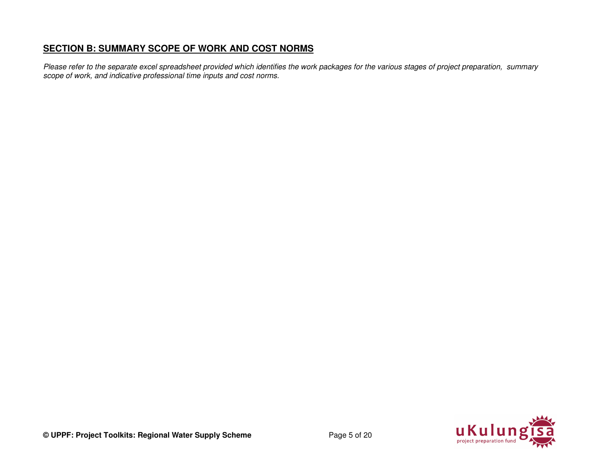# **SECTION B: SUMMARY SCOPE OF WORK AND COST NORMS**

*Please refer to the separate excel spreadsheet provided which identifies the work packages for the various stages of project preparation, summary scope of work, and indicative professional time inputs and cost norms.* 

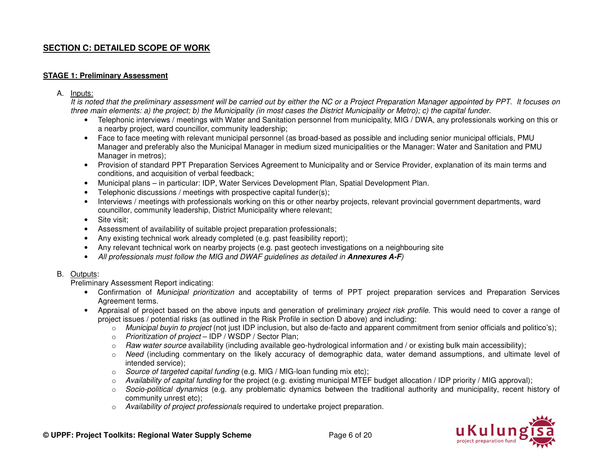# **SECTION C: DETAILED SCOPE OF WORK**

### **STAGE 1: Preliminary Assessment**

A. Inputs:

 *It is noted that the preliminary assessment will be carried out by either the NC or a Project Preparation Manager appointed by PPT. It focuses on three main elements: a) the project; b) the Municipality (in most cases the District Municipality or Metro); c) the capital funder.* 

- Telephonic interviews / meetings with Water and Sanitation personnel from municipality, MIG / DWA, any professionals working on this or a nearby project, ward councillor, community leadership;
- Face to face meeting with relevant municipal personnel (as broad-based as possible and including senior municipal officials, PMU Manager and preferably also the Municipal Manager in medium sized municipalities or the Manager: Water and Sanitation and PMU Manager in metros);
- Provision of standard PPT Preparation Services Agreement to Municipality and or Service Provider, explanation of its main terms and conditions, and acquisition of verbal feedback;
- Municipal plans in particular: IDP, Water Services Development Plan, Spatial Development Plan.
- Telephonic discussions / meetings with prospective capital funder(s);
- Interviews / meetings with professionals working on this or other nearby projects, relevant provincial government departments, ward councillor, community leadership, District Municipality where relevant;
- Site visit:
- Assessment of availability of suitable project preparation professionals;
- Any existing technical work already completed (e.g. past feasibility report);
- Any relevant technical work on nearby projects (e.g. past geotech investigations on a neighbouring site
- •*All professionals must follow the MIG and DWAF guidelines as detailed in* **Annexures A-F***)*

## B. Outputs:

Preliminary Assessment Report indicating:

- Confirmation of *Municipal prioritization* and acceptability of terms of PPT project preparation services and Preparation Services Agreement terms.
- Appraisal of project based on the above inputs and generation of preliminary *project risk profile*. This would need to cover a range of project issues / potential risks (as outlined in the Risk Profile in section D above) and including:
	- o *Municipal buyin to project* (not just IDP inclusion, but also de-facto and apparent commitment from senior officials and politico's);
	- o *Prioritization of project* IDP / WSDP / Sector Plan;
	- o *Raw water source* availability (including available geo-hydrological information and / or existing bulk main accessibility);
	- o *Need* (including commentary on the likely accuracy of demographic data, water demand assumptions, and ultimate level of intended service);
	- o *Source of targeted capital funding* (e.g. MIG / MIG-loan funding mix etc);
	- o *Availability of capital funding* for the project (e.g. existing municipal MTEF budget allocation / IDP priority / MIG approval);
	- o *Socio-political dynamics* (e.g. any problematic dynamics between the traditional authority and municipality, recent history of community unrest etc);
	- o *Availability of project professionals* required to undertake project preparation.

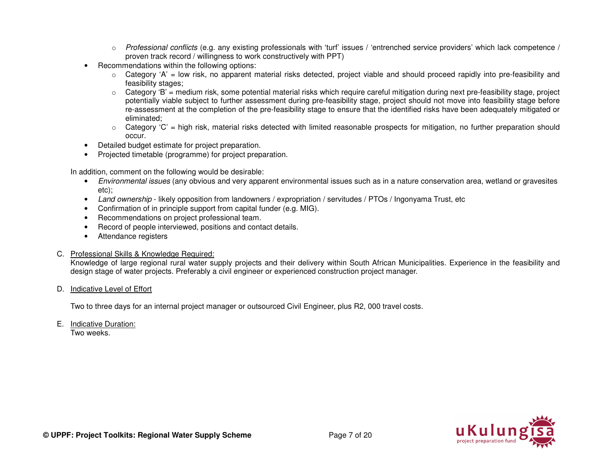- o *Professional conflicts* (e.g. any existing professionals with 'turf' issues / 'entrenched service providers' which lack competence / proven track record / willingness to work constructively with PPT)
- Recommendations within the following options:
	- o Category 'A' = low risk, no apparent material risks detected, project viable and should proceed rapidly into pre-feasibility and feasibility stages;
	- o Category 'B' = medium risk, some potential material risks which require careful mitigation during next pre-feasibility stage, project potentially viable subject to further assessment during pre-feasibility stage, project should not move into feasibility stage before re-assessment at the completion of the pre-feasibility stage to ensure that the identified risks have been adequately mitigated or eliminated;
	- o Category 'C' = high risk, material risks detected with limited reasonable prospects for mitigation, no further preparation should occur.
- Detailed budget estimate for project preparation.
- Projected timetable (programme) for project preparation.

In addition, comment on the following would be desirable:

- *Environmental issues* (any obvious and very apparent environmental issues such as in a nature conservation area, wetland or gravesites etc);
- *Land ownership* likely opposition from landowners / expropriation / servitudes / PTOs / Ingonyama Trust, etc•
- Confirmation of in principle support from capital funder (e.g. MIG).
- Recommendations on project professional team.
- Record of people interviewed, positions and contact details.
- Attendance registers

#### C. Professional Skills & Knowledge Required:

 Knowledge of large regional rural water supply projects and their delivery within South African Municipalities. Experience in the feasibility and design stage of water projects. Preferably a civil engineer or experienced construction project manager.

## D. Indicative Level of Effort

Two to three days for an internal project manager or outsourced Civil Engineer, plus R2, 000 travel costs.

E. Indicative Duration:

Two weeks.

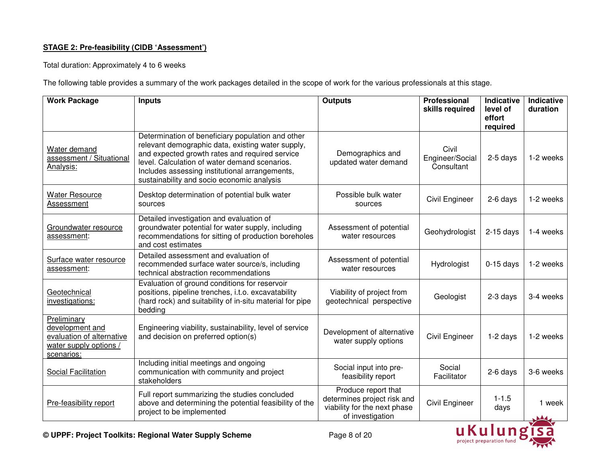# **STAGE 2: Pre-feasibility (CIDB 'Assessment')**

Total duration: Approximately 4 to 6 weeks

The following table provides a summary of the work packages detailed in the scope of work for the various professionals at this stage.

| <b>Work Package</b>                                                                                 | <b>Inputs</b>                                                                                                                                                                                                                                                                                             | <b>Outputs</b>                                                                                         | <b>Professional</b><br>skills required | Indicative<br>level of<br>effort<br>required | Indicative<br>duration |
|-----------------------------------------------------------------------------------------------------|-----------------------------------------------------------------------------------------------------------------------------------------------------------------------------------------------------------------------------------------------------------------------------------------------------------|--------------------------------------------------------------------------------------------------------|----------------------------------------|----------------------------------------------|------------------------|
| Water demand<br>assessment / Situational<br>Analysis:                                               | Determination of beneficiary population and other<br>relevant demographic data, existing water supply,<br>and expected growth rates and required service<br>level. Calculation of water demand scenarios.<br>Includes assessing institutional arrangements,<br>sustainability and socio economic analysis | Demographics and<br>updated water demand                                                               | Civil<br>Engineer/Social<br>Consultant | 2-5 days                                     | 1-2 weeks              |
| <b>Water Resource</b><br>Assessment                                                                 | Desktop determination of potential bulk water<br>sources                                                                                                                                                                                                                                                  | Possible bulk water<br>sources                                                                         | Civil Engineer                         | 2-6 days                                     | 1-2 weeks              |
| Groundwater resource<br>assessment:                                                                 | Detailed investigation and evaluation of<br>groundwater potential for water supply, including<br>recommendations for sitting of production boreholes<br>and cost estimates                                                                                                                                | Assessment of potential<br>water resources                                                             | Geohydrologist                         | $2-15$ days                                  | 1-4 weeks              |
| Surface water resource<br>assessment:                                                               | Detailed assessment and evaluation of<br>recommended surface water source/s, including<br>technical abstraction recommendations                                                                                                                                                                           | Assessment of potential<br>water resources                                                             | Hydrologist                            | $0-15$ days                                  | 1-2 weeks              |
| Geotechnical<br>investigations:                                                                     | Evaluation of ground conditions for reservoir<br>positions, pipeline trenches, i.t.o. excavatability<br>(hard rock) and suitability of in-situ material for pipe<br>bedding                                                                                                                               | Viability of project from<br>geotechnical perspective                                                  | Geologist                              | 2-3 days                                     | 3-4 weeks              |
| Preliminary<br>development and<br>evaluation of alternative<br>water supply options /<br>scenarios: | Engineering viability, sustainability, level of service<br>and decision on preferred option(s)                                                                                                                                                                                                            | Development of alternative<br>water supply options                                                     | Civil Engineer                         | $1-2$ days                                   | 1-2 weeks              |
| Social Facilitation                                                                                 | Including initial meetings and ongoing<br>communication with community and project<br>stakeholders                                                                                                                                                                                                        | Social input into pre-<br>feasibility report                                                           | Social<br>Facilitator                  | 2-6 days                                     | 3-6 weeks              |
| Pre-feasibility report                                                                              | Full report summarizing the studies concluded<br>above and determining the potential feasibility of the<br>project to be implemented                                                                                                                                                                      | Produce report that<br>determines project risk and<br>viability for the next phase<br>of investigation | Civil Engineer                         | $1 - 1.5$<br>days                            | 1 week<br><b>JA4</b>   |



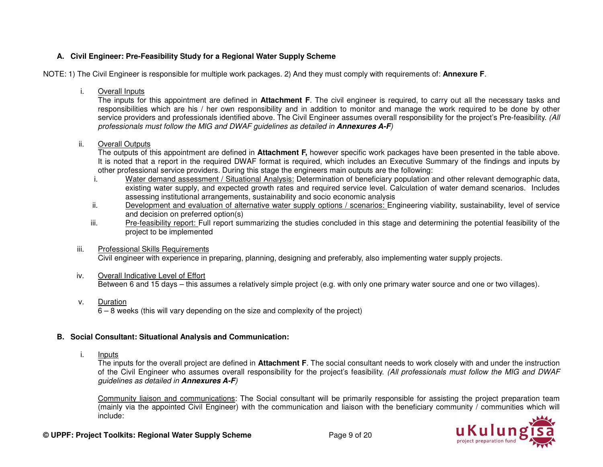# **A. Civil Engineer: Pre-Feasibility Study for a Regional Water Supply Scheme**

NOTE: 1) The Civil Engineer is responsible for multiple work packages. 2) And they must comply with requirements of: **Annexure F**.

i. Overall Inputs

 The inputs for this appointment are defined in **Attachment F**. The civil engineer is required, to carry out all the necessary tasks and responsibilities which are his / her own responsibility and in addition to monitor and manage the work required to be done by other service providers and professionals identified above. The Civil Engineer assumes overall responsibility for the project's Pre-feasibility. *(All professionals must follow the MIG and DWAF guidelines as detailed in* **Annexures A-F***)* 

ii. Overall Outputs

 The outputs of this appointment are defined in **Attachment F,** however specific work packages have been presented in the table above. It is noted that a report in the required DWAF format is required, which includes an Executive Summary of the findings and inputs by other professional service providers. During this stage the engineers main outputs are the following:

- i. Water demand assessment / Situational Analysis: Determination of beneficiary population and other relevant demographic data, existing water supply, and expected growth rates and required service level. Calculation of water demand scenarios. Includes assessing institutional arrangements, sustainability and socio economic analysis
- ii. Development and evaluation of alternative water supply options / scenarios: Engineering viability, sustainability, level of service and decision on preferred option(s)
- iii. Pre-feasibility report: Full report summarizing the studies concluded in this stage and determining the potential feasibility of the project to be implemented

# iii. Professional Skills Requirements

Civil engineer with experience in preparing, planning, designing and preferably, also implementing water supply projects.

#### iv. Overall Indicative Level of EffortBetween 6 and 15 days – this assumes a relatively simple project (e.g. with only one primary water source and one or two villages).

v. Duration

6 – 8 weeks (this will vary depending on the size and complexity of the project)

# **B. Social Consultant: Situational Analysis and Communication:**

i. Inputs

 The inputs for the overall project are defined in **Attachment F**. The social consultant needs to work closely with and under the instruction of the Civil Engineer who assumes overall responsibility for the project's feasibility. *(All professionals must follow the MIG and DWAF guidelines as detailed in* **Annexures A-F***)* 

Community liaison and communications: The Social consultant will be primarily responsible for assisting the project preparation team (mainly via the appointed Civil Engineer) with the communication and liaison with the beneficiary community / communities which will include:

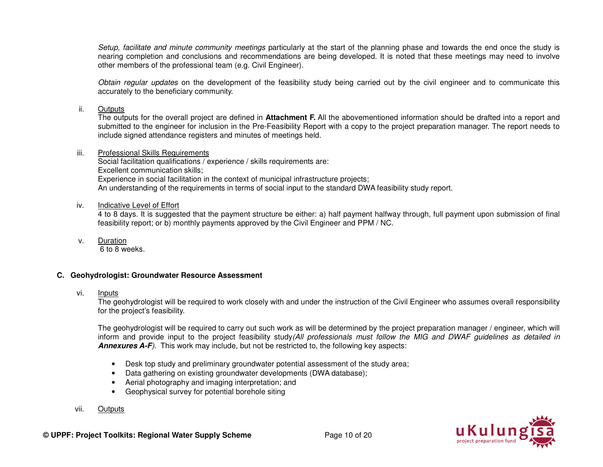*Setup, facilitate and minute community meetings* particularly at the start of the planning phase and towards the end once the study is nearing completion and conclusions and recommendations are being developed. It is noted that these meetings may need to involve other members of the professional team (e.g. Civil Engineer).

*Obtain regular updates* on the development of the feasibility study being carried out by the civil engineer and to communicate this accurately to the beneficiary community.

### ii. Outputs

 The outputs for the overall project are defined in **Attachment F.** All the abovementioned information should be drafted into a report and submitted to the engineer for inclusion in the Pre-Feasibility Report with a copy to the project preparation manager. The report needs to include signed attendance registers and minutes of meetings held.

### iii. Professional Skills Requirements

 Social facilitation qualifications / experience / skills requirements are: Excellent communication skills; Experience in social facilitation in the context of municipal infrastructure projects; An understanding of the requirements in terms of social input to the standard DWA feasibility study report.

## iv. Indicative Level of Effort

 4 to 8 days. It is suggested that the payment structure be either: a) half payment halfway through, full payment upon submission of final feasibility report; or b) monthly payments approved by the Civil Engineer and PPM / NC.

v. Duration

6 to 8 weeks.

# **C. Geohydrologist: Groundwater Resource Assessment**

vi. Inputs

 The geohydrologist will be required to work closely with and under the instruction of the Civil Engineer who assumes overall responsibility for the project's feasibility.

The geohydrologist will be required to carry out such work as will be determined by the project preparation manager / engineer, which will inform and provide input to the project feasibility study*(All professionals must follow the MIG and DWAF guidelines as detailed in* **Annexures A-F***)*. This work may include, but not be restricted to, the following key aspects:

- Desk top study and preliminary groundwater potential assessment of the study area;
- Data gathering on existing groundwater developments (DWA database);
- Aerial photography and imaging interpretation; and
- Geophysical survey for potential borehole siting
- vii. Outputs

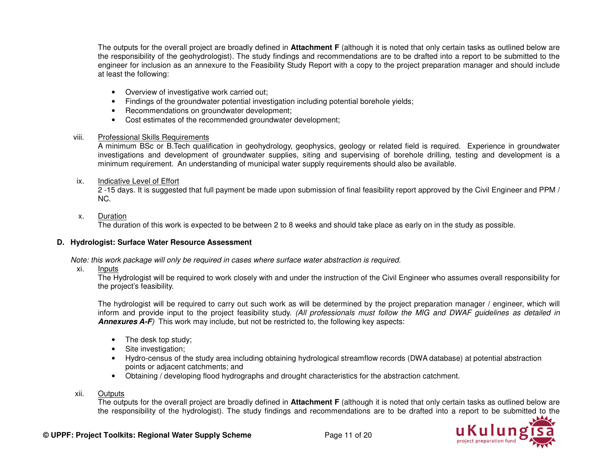The outputs for the overall project are broadly defined in **Attachment F** (although it is noted that only certain tasks as outlined below are the responsibility of the geohydrologist). The study findings and recommendations are to be drafted into a report to be submitted to the engineer for inclusion as an annexure to the Feasibility Study Report with a copy to the project preparation manager and should include at least the following:

- Overview of investigative work carried out;
- Findings of the groundwater potential investigation including potential borehole yields;
- Recommendations on groundwater development;
- Cost estimates of the recommended groundwater development;

## viii. Professional Skills Requirements

 A minimum BSc or B.Tech qualification in geohydrology, geophysics, geology or related field is required. Experience in groundwater investigations and development of groundwater supplies, siting and supervising of borehole drilling, testing and development is a minimum requirement. An understanding of municipal water supply requirements should also be available.

## ix. Indicative Level of Effort

 2 -15 days. It is suggested that full payment be made upon submission of final feasibility report approved by the Civil Engineer and PPM / NC.

# x. Duration

The duration of this work is expected to be between 2 to 8 weeks and should take place as early on in the study as possible.

# **D. Hydrologist: Surface Water Resource Assessment**

*Note: this work package will only be required in cases where surface water abstraction is required.* 

xi. Inputs

 The Hydrologist will be required to work closely with and under the instruction of the Civil Engineer who assumes overall responsibility for the project's feasibility.

The hydrologist will be required to carry out such work as will be determined by the project preparation manager / engineer, which will inform and provide input to the project feasibility study. *(All professionals must follow the MIG and DWAF guidelines as detailed in* **Annexures A-F***)* This work may include, but not be restricted to, the following key aspects:

- The desk top study;
- Site investigation;
- Hydro-census of the study area including obtaining hydrological streamflow records (DWA database) at potential abstraction points or adjacent catchments; and
- Obtaining / developing flood hydrographs and drought characteristics for the abstraction catchment.

# xii. Outputs

 The outputs for the overall project are broadly defined in **Attachment F** (although it is noted that only certain tasks as outlined below are the responsibility of the hydrologist). The study findings and recommendations are to be drafted into a report to be submitted to the

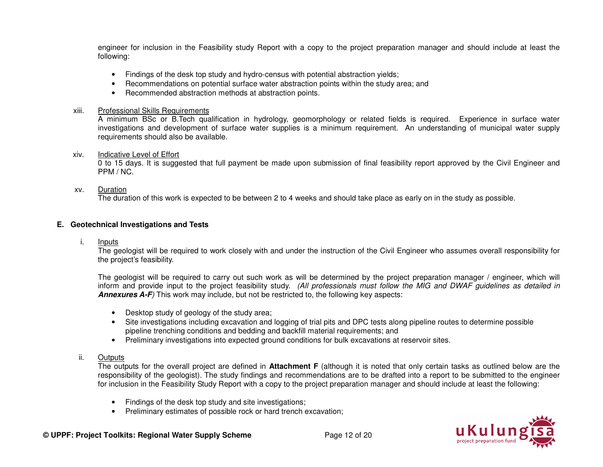engineer for inclusion in the Feasibility study Report with a copy to the project preparation manager and should include at least the following:

- Findings of the desk top study and hydro-census with potential abstraction yields;
- Recommendations on potential surface water abstraction points within the study area; and
- Recommended abstraction methods at abstraction points.

#### xiii. Professional Skills Requirements

 A minimum BSc or B.Tech qualification in hydrology, geomorphology or related fields is required. Experience in surface water investigations and development of surface water supplies is a minimum requirement. An understanding of municipal water supply requirements should also be available.

#### xiv. Indicative Level of Effort

 0 to 15 days. It is suggested that full payment be made upon submission of final feasibility report approved by the Civil Engineer and PPM / NC.

#### xv. Duration

The duration of this work is expected to be between 2 to 4 weeks and should take place as early on in the study as possible.

### **E. Geotechnical Investigations and Tests**

i. Inputs

 The geologist will be required to work closely with and under the instruction of the Civil Engineer who assumes overall responsibility for the project's feasibility.

The geologist will be required to carry out such work as will be determined by the project preparation manager / engineer, which will inform and provide input to the project feasibility study. *(All professionals must follow the MIG and DWAF guidelines as detailed in* **Annexures A-F***)* This work may include, but not be restricted to, the following key aspects:

- Desktop study of geology of the study area;
- Site investigations including excavation and logging of trial pits and DPC tests along pipeline routes to determine possible pipeline trenching conditions and bedding and backfill material requirements; and
- Preliminary investigations into expected ground conditions for bulk excavations at reservoir sites.

## ii. Outputs

 The outputs for the overall project are defined in **Attachment F** (although it is noted that only certain tasks as outlined below are the responsibility of the geologist). The study findings and recommendations are to be drafted into a report to be submitted to the engineer for inclusion in the Feasibility Study Report with a copy to the project preparation manager and should include at least the following:

- Findings of the desk top study and site investigations;
- Preliminary estimates of possible rock or hard trench excavation;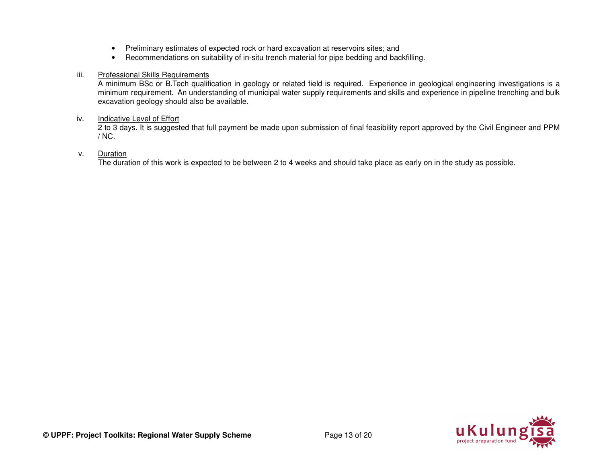- Preliminary estimates of expected rock or hard excavation at reservoirs sites; and
- Recommendations on suitability of in-situ trench material for pipe bedding and backfilling.

## iii. Professional Skills Requirements

 A minimum BSc or B.Tech qualification in geology or related field is required. Experience in geological engineering investigations is a minimum requirement. An understanding of municipal water supply requirements and skills and experience in pipeline trenching and bulk excavation geology should also be available.

## iv. Indicative Level of Effort

 2 to 3 days. It is suggested that full payment be made upon submission of final feasibility report approved by the Civil Engineer and PPM / NC.

## v. Duration

The duration of this work is expected to be between 2 to 4 weeks and should take place as early on in the study as possible.

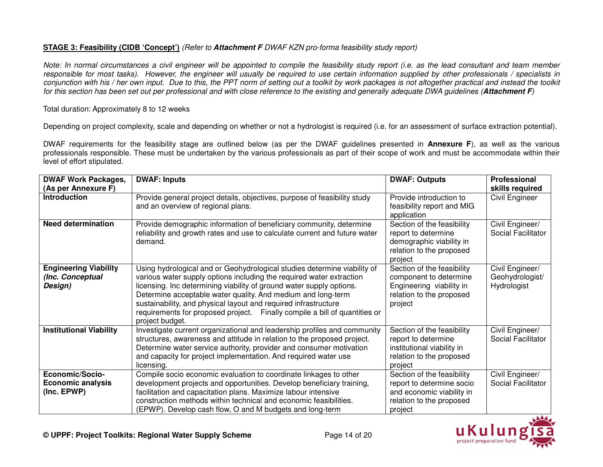# **STAGE 3: Feasibility (CIDB 'Concept')** *(Refer to* **Attachment F** *DWAF KZN pro-forma feasibility study report)*

*Note: In normal circumstances a civil engineer will be appointed to compile the feasibility study report (i.e. as the lead consultant and team member responsible for most tasks). However, the engineer will usually be required to use certain information supplied by other professionals / specialists in conjunction with his / her own input. Due to this, the PPT norm of setting out a toolkit by work packages is not altogether practical and instead the toolkit for this section has been set out per professional and with close reference to the existing and generally adequate DWA guidelines (***Attachment F***)* 

## Total duration: Approximately 8 to 12 weeks

Depending on project complexity, scale and depending on whether or not a hydrologist is required (i.e. for an assessment of surface extraction potential).

DWAF requirements for the feasibility stage are outlined below (as per the DWAF guidelines presented in **Annexure F**), as well as the various professionals responsible. These must be undertaken by the various professionals as part of their scope of work and must be accommodate within their level of effort stipulated.

| <b>DWAF Work Packages,</b>                                  | <b>DWAF: Inputs</b>                                                                                                                                                                                                                                                                                                                                                                                                                                          | <b>DWAF: Outputs</b>                                                                                                        | Professional                                      |
|-------------------------------------------------------------|--------------------------------------------------------------------------------------------------------------------------------------------------------------------------------------------------------------------------------------------------------------------------------------------------------------------------------------------------------------------------------------------------------------------------------------------------------------|-----------------------------------------------------------------------------------------------------------------------------|---------------------------------------------------|
| (As per Annexure F)                                         |                                                                                                                                                                                                                                                                                                                                                                                                                                                              |                                                                                                                             | skills required                                   |
| <b>Introduction</b>                                         | Provide general project details, objectives, purpose of feasibility study<br>and an overview of regional plans.                                                                                                                                                                                                                                                                                                                                              | Provide introduction to<br>feasibility report and MIG<br>application                                                        | Civil Engineer                                    |
| <b>Need determination</b>                                   | Provide demographic information of beneficiary community, determine<br>reliability and growth rates and use to calculate current and future water<br>demand.                                                                                                                                                                                                                                                                                                 | Section of the feasibility<br>report to determine<br>demographic viability in<br>relation to the proposed<br>project        | Civil Engineer/<br>Social Facilitator             |
| <b>Engineering Viability</b><br>(Inc. Conceptual<br>Design) | Using hydrological and or Geohydrological studies determine viability of<br>various water supply options including the required water extraction<br>licensing. Inc determining viability of ground water supply options.<br>Determine acceptable water quality. And medium and long-term<br>sustainability, and physical layout and required infrastructure<br>requirements for proposed project. Finally compile a bill of quantities or<br>project budget. | Section of the feasibility<br>component to determine<br>Engineering viability in<br>relation to the proposed<br>project     | Civil Engineer/<br>Geohydrologist/<br>Hydrologist |
| <b>Institutional Viability</b>                              | Investigate current organizational and leadership profiles and community<br>structures, awareness and attitude in relation to the proposed project.<br>Determine water service authority, provider and consumer motivation<br>and capacity for project implementation. And required water use<br>licensing.                                                                                                                                                  | Section of the feasibility<br>report to determine<br>institutional viability in<br>relation to the proposed<br>project      | Civil Engineer/<br>Social Facilitator             |
| Economic/Socio-<br><b>Economic analysis</b><br>(Inc. EPWP)  | Compile socio economic evaluation to coordinate linkages to other<br>development projects and opportunities. Develop beneficiary training,<br>facilitation and capacitation plans. Maximize labour intensive<br>construction methods within technical and economic feasibilities.<br>(EPWP). Develop cash flow, O and M budgets and long-term                                                                                                                | Section of the feasibility<br>report to determine socio<br>and economic viability in<br>relation to the proposed<br>project | Civil Engineer/<br>Social Facilitator             |

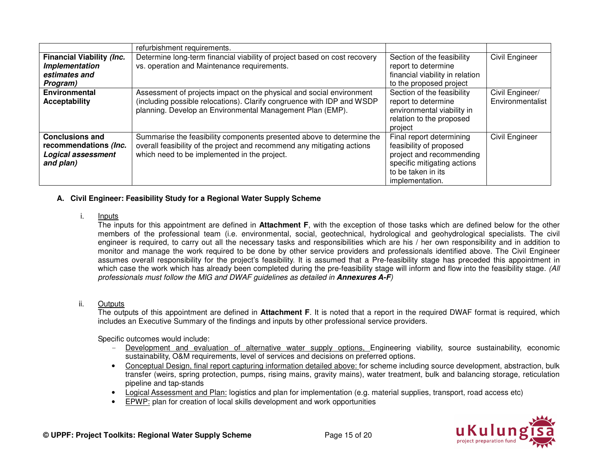|                                  | refurbishment requirements.                                               |                                 |                  |
|----------------------------------|---------------------------------------------------------------------------|---------------------------------|------------------|
| <b>Financial Viability (Inc.</b> | Determine long-term financial viability of project based on cost recovery | Section of the feasibility      | Civil Engineer   |
| Implementation                   | vs. operation and Maintenance requirements.                               | report to determine             |                  |
| estimates and                    |                                                                           | financial viability in relation |                  |
| Program)                         |                                                                           | to the proposed project         |                  |
| <b>Environmental</b>             | Assessment of projects impact on the physical and social environment      | Section of the feasibility      | Civil Engineer/  |
| <b>Acceptability</b>             | (including possible relocations). Clarify congruence with IDP and WSDP    | report to determine             | Environmentalist |
|                                  | planning. Develop an Environmental Management Plan (EMP).                 | environmental viability in      |                  |
|                                  |                                                                           | relation to the proposed        |                  |
|                                  |                                                                           | project                         |                  |
| <b>Conclusions and</b>           | Summarise the feasibility components presented above to determine the     | Final report determining        | Civil Engineer   |
| recommendations (Inc.            | overall feasibility of the project and recommend any mitigating actions   | feasibility of proposed         |                  |
| <b>Logical assessment</b>        | which need to be implemented in the project.                              | project and recommending        |                  |
| and plan)                        |                                                                           | specific mitigating actions     |                  |
|                                  |                                                                           | to be taken in its              |                  |
|                                  |                                                                           | implementation.                 |                  |

## **A. Civil Engineer: Feasibility Study for a Regional Water Supply Scheme**

i. Inputs

 The inputs for this appointment are defined in **Attachment F**, with the exception of those tasks which are defined below for the other members of the professional team (i.e. environmental, social, geotechnical, hydrological and geohydrological specialists. The civil engineer is required, to carry out all the necessary tasks and responsibilities which are his / her own responsibility and in addition to monitor and manage the work required to be done by other service providers and professionals identified above. The Civil Engineer assumes overall responsibility for the project's feasibility. It is assumed that a Pre-feasibility stage has preceded this appointment in which case the work which has already been completed during the pre-feasibility stage will inform and flow into the feasibility stage. *(All professionals must follow the MIG and DWAF guidelines as detailed in* **Annexures A-F***)* 

# ii. Outputs

 The outputs of this appointment are defined in **Attachment F**. It is noted that a report in the required DWAF format is required, which includes an Executive Summary of the findings and inputs by other professional service providers.

Specific outcomes would include:

- Development and evaluation of alternative water supply options, Engineering viability, source sustainability, economic sustainability, O&M requirements, level of services and decisions on preferred options.
- Conceptual Design, final report capturing information detailed above: for scheme including source development, abstraction, bulk transfer (weirs, spring protection, pumps, rising mains, gravity mains), water treatment, bulk and balancing storage, reticulation pipeline and tap-stands
- Logical Assessment and Plan: logistics and plan for implementation (e.g. material supplies, transport, road access etc)
- EPWP: plan for creation of local skills development and work opportunities

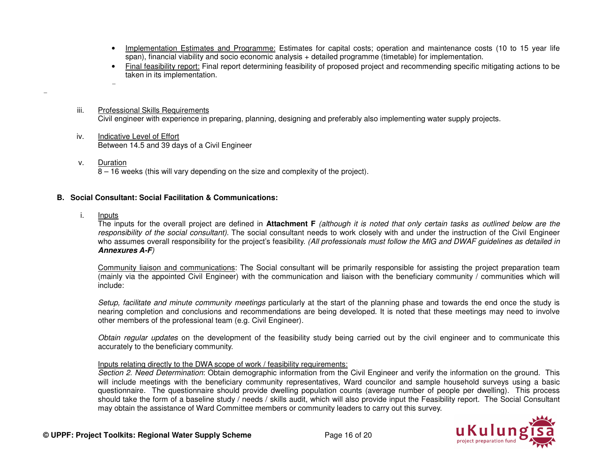- Implementation Estimates and Programme: Estimates for capital costs; operation and maintenance costs (10 to 15 year life span), financial viability and socio economic analysis + detailed programme (timetable) for implementation.
- Final feasibility report: Final report determining feasibility of proposed project and recommending specific mitigating actions to be taken in its implementation.
- iii. Professional Skills RequirementsCivil engineer with experience in preparing, planning, designing and preferably also implementing water supply projects.
- iv. Indicative Level of EffortBetween 14.5 and 39 days of a Civil Engineer
- v. Duration8 – 16 weeks (this will vary depending on the size and complexity of the project).

### **B. Social Consultant: Social Facilitation & Communications:**

i. Inputs

-

-

 The inputs for the overall project are defined in **Attachment F** *(although it is noted that only certain tasks as outlined below are the responsibility of the social consultant).* The social consultant needs to work closely with and under the instruction of the Civil Engineer who assumes overall responsibility for the project's feasibility. *(All professionals must follow the MIG and DWAF guidelines as detailed in* **Annexures A-F***)* 

Community liaison and communications: The Social consultant will be primarily responsible for assisting the project preparation team (mainly via the appointed Civil Engineer) with the communication and liaison with the beneficiary community / communities which will include:

*Setup, facilitate and minute community meetings* particularly at the start of the planning phase and towards the end once the study is nearing completion and conclusions and recommendations are being developed. It is noted that these meetings may need to involve other members of the professional team (e.g. Civil Engineer).

*Obtain regular updates* on the development of the feasibility study being carried out by the civil engineer and to communicate this accurately to the beneficiary community.

#### Inputs relating directly to the DWA scope of work / feasibility requirements:

 *Section 2. Need Determination*: Obtain demographic information from the Civil Engineer and verify the information on the ground. This will include meetings with the beneficiary community representatives, Ward councilor and sample household surveys using a basic questionnaire. The questionnaire should provide dwelling population counts (average number of people per dwelling). This process should take the form of a baseline study / needs / skills audit, which will also provide input the Feasibility report. The Social Consultant may obtain the assistance of Ward Committee members or community leaders to carry out this survey.

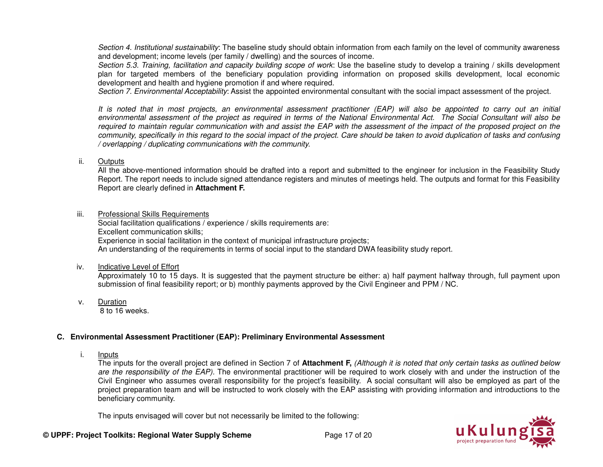*Section 4. Institutional sustainability*: The baseline study should obtain information from each family on the level of community awareness and development; income levels (per family / dwelling) and the sources of income.

 *Section 5.3. Training, facilitation and capacity building scope of work*: Use the baseline study to develop a training / skills development plan for targeted members of the beneficiary population providing information on proposed skills development, local economic development and health and hygiene promotion if and where required.

*Section 7. Environmental Acceptability*: Assist the appointed environmental consultant with the social impact assessment of the project.

*It is noted that in most projects, an environmental assessment practitioner (EAP) will also be appointed to carry out an initial environmental assessment of the project as required in terms of the National Environmental Act. The Social Consultant will also be* required to maintain regular communication with and assist the EAP with the assessment of the impact of the proposed project on the *community, specifically in this regard to the social impact of the project. Care should be taken to avoid duplication of tasks and confusing / overlapping / duplicating communications with the community.* 

ii. Outputs

 All the above-mentioned information should be drafted into a report and submitted to the engineer for inclusion in the Feasibility Study Report. The report needs to include signed attendance registers and minutes of meetings held. The outputs and format for this Feasibility Report are clearly defined in **Attachment F.** 

iii. Professional Skills Requirements

 Social facilitation qualifications / experience / skills requirements are: Excellent communication skills; Experience in social facilitation in the context of municipal infrastructure projects; An understanding of the requirements in terms of social input to the standard DWA feasibility study report.

iv. Indicative Level of Effort

 Approximately 10 to 15 days. It is suggested that the payment structure be either: a) half payment halfway through, full payment upon submission of final feasibility report; or b) monthly payments approved by the Civil Engineer and PPM / NC.

v. Duration

8 to 16 weeks.

#### **C. Environmental Assessment Practitioner (EAP): Preliminary Environmental Assessment**

i. Inputs

 The inputs for the overall project are defined in Section 7 of **Attachment F,** *(Although it is noted that only certain tasks as outlined below are the responsibility of the EAP).* The environmental practitioner will be required to work closely with and under the instruction of the Civil Engineer who assumes overall responsibility for the project's feasibility. A social consultant will also be employed as part of the project preparation team and will be instructed to work closely with the EAP assisting with providing information and introductions to the beneficiary community.

The inputs envisaged will cover but not necessarily be limited to the following:

**© UPPF: Project Toolkits: Regional Water Supply Scheme** Page 17 of 20

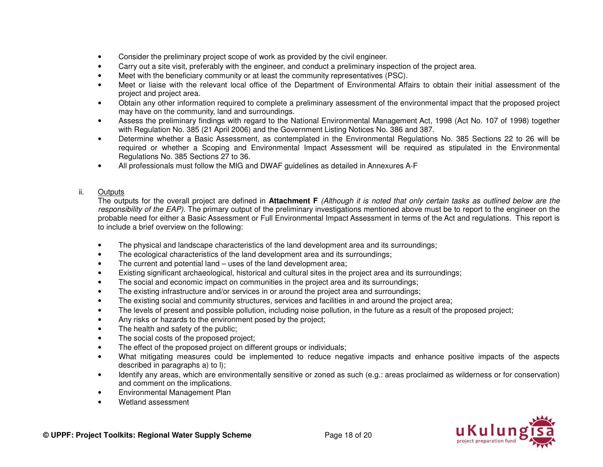- Consider the preliminary project scope of work as provided by the civil engineer.
- Carry out a site visit, preferably with the engineer, and conduct a preliminary inspection of the project area.
- Meet with the beneficiary community or at least the community representatives (PSC).
- Meet or liaise with the relevant local office of the Department of Environmental Affairs to obtain their initial assessment of the project and project area.
- Obtain any other information required to complete a preliminary assessment of the environmental impact that the proposed project may have on the community, land and surroundings.
- Assess the preliminary findings with regard to the National Environmental Management Act, 1998 (Act No. 107 of 1998) together with Regulation No. 385 (21 April 2006) and the Government Listing Notices No. 386 and 387.
- Determine whether a Basic Assessment, as contemplated in the Environmental Regulations No. 385 Sections 22 to 26 will be required or whether a Scoping and Environmental Impact Assessment will be required as stipulated in the Environmental Regulations No. 385 Sections 27 to 36.
- All professionals must follow the MIG and DWAF guidelines as detailed in Annexures A-F

## ii. Outputs

 The outputs for the overall project are defined in **Attachment F** *(Although it is noted that only certain tasks as outlined below are the responsibility of the EAP).* The primary output of the preliminary investigations mentioned above must be to report to the engineer on the probable need for either a Basic Assessment or Full Environmental Impact Assessment in terms of the Act and regulations. This report is to include a brief overview on the following:

- The physical and landscape characteristics of the land development area and its surroundings;
- The ecological characteristics of the land development area and its surroundings;
- The current and potential land  $-$  uses of the land development area;
- Existing significant archaeological, historical and cultural sites in the project area and its surroundings;
- The social and economic impact on communities in the project area and its surroundings;
- The existing infrastructure and/or services in or around the project area and surroundings;
- The existing social and community structures, services and facilities in and around the project area;
- The levels of present and possible pollution, including noise pollution, in the future as a result of the proposed project;
- Any risks or hazards to the environment posed by the project;
- The health and safety of the public;
- The social costs of the proposed project;
- The effect of the proposed project on different groups or individuals;
- What mitigating measures could be implemented to reduce negative impacts and enhance positive impacts of the aspects described in paragraphs a) to l);
- Identify any areas, which are environmentally sensitive or zoned as such (e.g.: areas proclaimed as wilderness or for conservation) and comment on the implications.
- Environmental Management Plan
- Wetland assessment

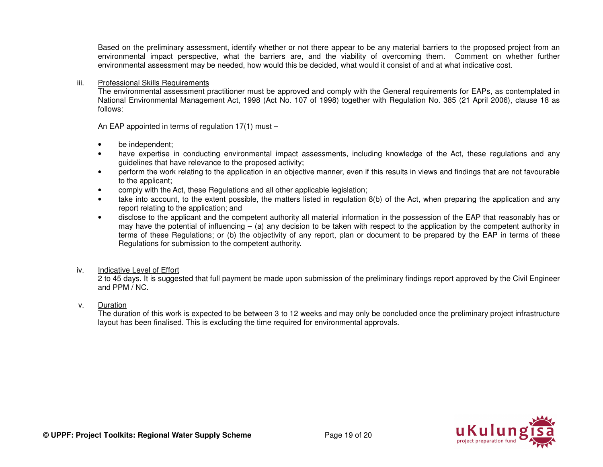Based on the preliminary assessment, identify whether or not there appear to be any material barriers to the proposed project from an environmental impact perspective, what the barriers are, and the viability of overcoming them. Comment on whether further environmental assessment may be needed, how would this be decided, what would it consist of and at what indicative cost.

#### iii. Professional Skills Requirements

 The environmental assessment practitioner must be approved and comply with the General requirements for EAPs, as contemplated in National Environmental Management Act, 1998 (Act No. 107 of 1998) together with Regulation No. 385 (21 April 2006), clause 18 as follows:

An EAP appointed in terms of regulation 17(1) must –

- be independent;
- have expertise in conducting environmental impact assessments, including knowledge of the Act, these regulations and any guidelines that have relevance to the proposed activity;
- perform the work relating to the application in an objective manner, even if this results in views and findings that are not favourable to the applicant;
- comply with the Act, these Regulations and all other applicable legislation;
- take into account, to the extent possible, the matters listed in regulation 8(b) of the Act, when preparing the application and any report relating to the application; and
- disclose to the applicant and the competent authority all material information in the possession of the EAP that reasonably has or may have the potential of influencing – (a) any decision to be taken with respect to the application by the competent authority in terms of these Regulations; or (b) the objectivity of any report, plan or document to be prepared by the EAP in terms of these Regulations for submission to the competent authority.

#### iv. Indicative Level of Effort

 2 to 45 days. It is suggested that full payment be made upon submission of the preliminary findings report approved by the Civil Engineer and PPM / NC.

#### v. Duration

 The duration of this work is expected to be between 3 to 12 weeks and may only be concluded once the preliminary project infrastructure layout has been finalised. This is excluding the time required for environmental approvals.